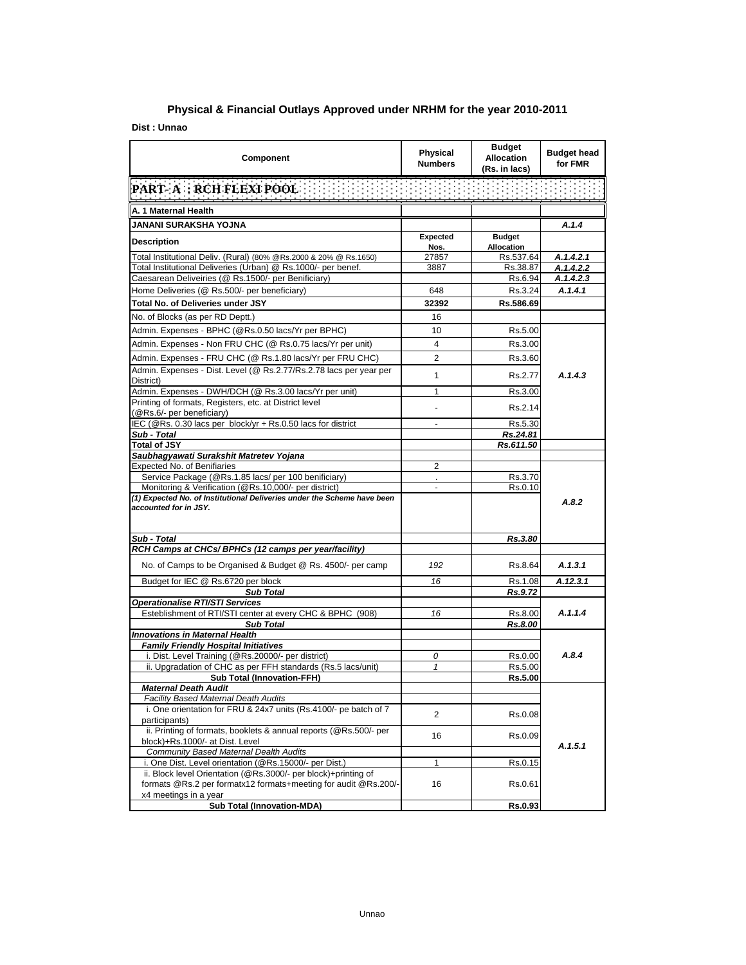## **Physical & Financial Outlays Approved under NRHM for the year 2010-2011**

**Dist : Unnao**

| Component                                                                                                                         | Physical<br><b>Numbers</b> | <b>Budget</b><br><b>Allocation</b><br>(Rs. in lacs) | <b>Budget head</b><br>for FMR |
|-----------------------------------------------------------------------------------------------------------------------------------|----------------------------|-----------------------------------------------------|-------------------------------|
| PART- A : RCH FLEXI POOL                                                                                                          |                            |                                                     |                               |
| A. 1 Maternal Health                                                                                                              |                            |                                                     |                               |
| JANANI SURAKSHA YOJNA                                                                                                             |                            |                                                     | A.1.4                         |
| <b>Description</b>                                                                                                                | <b>Expected</b>            | <b>Budget</b>                                       |                               |
|                                                                                                                                   | Nos.                       | Allocation                                          |                               |
| Total Institutional Deliv. (Rural) (80% @Rs.2000 & 20% @ Rs.1650)                                                                 | 27857                      | Rs.537.64                                           | A.1.4.2.1                     |
| Total Institutional Deliveries (Urban) @ Rs.1000/- per benef.<br>Caesarean Deliveiries (@ Rs.1500/- per Benificiary)              | 3887                       | Rs.38.87<br>Rs.6.94                                 | A.1.4.2.2<br>A.1.4.2.3        |
| Home Deliveries (@ Rs.500/- per beneficiary)                                                                                      | 648                        | Rs.3.24                                             | A.1.4.1                       |
| Total No. of Deliveries under JSY                                                                                                 | 32392                      | Rs.586.69                                           |                               |
|                                                                                                                                   |                            |                                                     |                               |
| No. of Blocks (as per RD Deptt.)                                                                                                  | 16                         |                                                     |                               |
| Admin. Expenses - BPHC (@Rs.0.50 lacs/Yr per BPHC)                                                                                | 10                         | Rs.5.00                                             |                               |
| Admin. Expenses - Non FRU CHC (@ Rs.0.75 lacs/Yr per unit)                                                                        | $\overline{4}$             | Rs.3.00                                             |                               |
| Admin. Expenses - FRU CHC (@ Rs.1.80 lacs/Yr per FRU CHC)                                                                         | 2                          | Rs.3.60                                             |                               |
| Admin. Expenses - Dist. Level (@ Rs.2.77/Rs.2.78 lacs per year per<br>District)                                                   | 1                          | Rs.2.77                                             | A.1.4.3                       |
| Admin. Expenses - DWH/DCH (@ Rs.3.00 lacs/Yr per unit)                                                                            | 1                          | Rs.3.00                                             |                               |
| Printing of formats, Registers, etc. at District level<br>(@Rs.6/- per beneficiary)                                               |                            | Rs.2.14                                             |                               |
| IEC (@Rs. 0.30 lacs per block/yr + Rs.0.50 lacs for district                                                                      |                            | Rs.5.30                                             |                               |
| Sub - Total                                                                                                                       |                            | Rs.24.81                                            |                               |
| <b>Total of JSY</b>                                                                                                               |                            | Rs.611.50                                           |                               |
| Saubhagyawati Surakshit Matretev Yojana<br>Expected No. of Benifiaries                                                            | 2                          |                                                     |                               |
| Service Package (@Rs.1.85 lacs/ per 100 benificiary)                                                                              |                            | Rs.3.70                                             |                               |
| Monitoring & Verification (@Rs.10,000/- per district)                                                                             | $\blacksquare$             | Rs.0.10                                             |                               |
| (1) Expected No. of Institutional Deliveries under the Scheme have been<br>accounted for in JSY.                                  |                            |                                                     | A.8.2                         |
| Sub - Total<br>RCH Camps at CHCs/ BPHCs (12 camps per year/facility)                                                              |                            | Rs.3.80                                             |                               |
|                                                                                                                                   |                            |                                                     |                               |
| No. of Camps to be Organised & Budget @ Rs. 4500/- per camp                                                                       | 192                        | Rs.8.64                                             | A.1.3.1                       |
| Budget for IEC @ Rs.6720 per block<br><b>Sub Total</b>                                                                            | 16                         | Rs.1.08<br>Rs.9.72                                  | A.12.3.1                      |
| Operationalise RTI/STI Services                                                                                                   |                            |                                                     |                               |
| Esteblishment of RTI/STI center at every CHC & BPHC (908)                                                                         | 16                         | Rs.8.00                                             | A.1.1.4                       |
| <b>Sub Total</b>                                                                                                                  |                            | Rs.8.00                                             |                               |
| <b>Innovations in Maternal Health</b>                                                                                             |                            |                                                     |                               |
| <b>Family Friendly Hospital Initiatives</b>                                                                                       |                            |                                                     |                               |
| i. Dist. Level Training (@Rs.20000/- per district)                                                                                | 0                          | Rs.0.00                                             | A.8.4                         |
| ii. Upgradation of CHC as per FFH standards (Rs.5 lacs/unit)<br>Sub Total (Innovation-FFH)                                        | $\mathbf{1}$               | Rs.5.00                                             |                               |
| <b>Maternal Death Audit</b>                                                                                                       |                            | Rs.5.00                                             |                               |
| Facility Based Maternal Death Audits                                                                                              |                            |                                                     |                               |
| i. One orientation for FRU & 24x7 units (Rs.4100/- pe batch of 7                                                                  |                            |                                                     |                               |
| participants)                                                                                                                     | 2                          | Rs.0.08                                             |                               |
| ii. Printing of formats, booklets & annual reports (@Rs.500/- per<br>block)+Rs.1000/- at Dist. Level                              | 16                         | Rs.0.09                                             |                               |
| <b>Community Based Maternal Dealth Audits</b>                                                                                     |                            |                                                     | A.1.5.1                       |
| i. One Dist. Level orientation (@Rs.15000/- per Dist.)                                                                            | 1                          | Rs.0.15                                             |                               |
| ii. Block level Orientation (@Rs.3000/- per block)+printing of<br>formats @Rs.2 per formatx12 formats+meeting for audit @Rs.200/- | 16                         | Rs.0.61                                             |                               |
| x4 meetings in a year<br><b>Sub Total (Innovation-MDA)</b>                                                                        |                            | Rs.0.93                                             |                               |
|                                                                                                                                   |                            |                                                     |                               |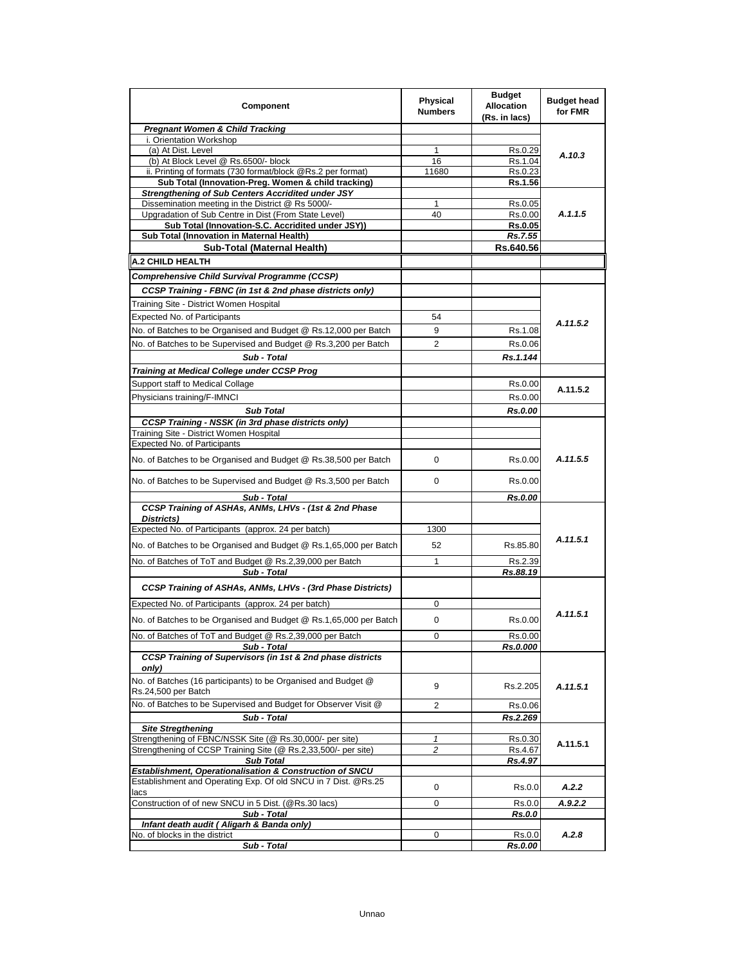| Component                                                                                                                  | <b>Physical</b><br><b>Numbers</b> | <b>Budget</b><br><b>Allocation</b><br>(Rs. in lacs) | <b>Budget head</b><br>for FMR |
|----------------------------------------------------------------------------------------------------------------------------|-----------------------------------|-----------------------------------------------------|-------------------------------|
| <b>Pregnant Women &amp; Child Tracking</b>                                                                                 |                                   |                                                     |                               |
| i. Orientation Workshop                                                                                                    |                                   |                                                     |                               |
| (a) At Dist. Level                                                                                                         | 1                                 | Rs.0.29                                             | A.10.3                        |
| (b) At Block Level @ Rs.6500/- block<br>ii. Printing of formats (730 format/block @Rs.2 per format)                        | 16<br>11680                       | Rs.1.04<br>Rs.0.23                                  |                               |
| Sub Total (Innovation-Preg. Women & child tracking)                                                                        |                                   | Rs.1.56                                             |                               |
| <b>Strengthening of Sub Centers Accridited under JSY</b>                                                                   |                                   |                                                     |                               |
| Dissemination meeting in the District @ Rs 5000/-                                                                          | 1                                 | Rs.0.05                                             |                               |
| Upgradation of Sub Centre in Dist (From State Level)                                                                       | 40                                | Rs.0.00                                             | A.1.1.5                       |
| Sub Total (Innovation-S.C. Accridited under JSY))                                                                          |                                   | <b>Rs.0.05</b>                                      |                               |
| Sub Total (Innovation in Maternal Health)                                                                                  |                                   | Rs.7.55                                             |                               |
| Sub-Total (Maternal Health)                                                                                                |                                   | Rs.640.56                                           |                               |
| <b>A.2 CHILD HEALTH</b>                                                                                                    |                                   |                                                     |                               |
| Comprehensive Child Survival Programme (CCSP)                                                                              |                                   |                                                     |                               |
| CCSP Training - FBNC (in 1st & 2nd phase districts only)                                                                   |                                   |                                                     |                               |
| Training Site - District Women Hospital                                                                                    |                                   |                                                     |                               |
| Expected No. of Participants                                                                                               | 54                                |                                                     | A.11.5.2                      |
| No. of Batches to be Organised and Budget @ Rs.12,000 per Batch                                                            | 9                                 | Rs.1.08                                             |                               |
| No. of Batches to be Supervised and Budget @ Rs.3,200 per Batch                                                            | 2                                 | Rs.0.06                                             |                               |
| Sub - Total                                                                                                                |                                   | Rs.1.144                                            |                               |
| Training at Medical College under CCSP Prog                                                                                |                                   |                                                     |                               |
| Support staff to Medical Collage                                                                                           |                                   | Rs.0.00                                             |                               |
| Physicians training/F-IMNCI                                                                                                |                                   | Rs.0.00                                             | A.11.5.2                      |
| <b>Sub Total</b>                                                                                                           |                                   | <b>Rs.0.00</b>                                      |                               |
| <b>CCSP Training - NSSK (in 3rd phase districts only)</b>                                                                  |                                   |                                                     |                               |
| Training Site - District Women Hospital<br>Expected No. of Participants                                                    |                                   |                                                     |                               |
| No. of Batches to be Organised and Budget @ Rs.38,500 per Batch                                                            | $\Omega$                          | Rs.0.00                                             | A.11.5.5                      |
| No. of Batches to be Supervised and Budget @ Rs.3,500 per Batch                                                            | $\mathbf 0$                       | Rs 0.00                                             |                               |
| Sub - Total<br>CCSP Training of ASHAs, ANMs, LHVs - (1st & 2nd Phase<br>Districts)                                         |                                   | Rs.0.00                                             |                               |
| Expected No. of Participants (approx. 24 per batch)                                                                        | 1300                              |                                                     |                               |
| No. of Batches to be Organised and Budget @ Rs.1,65,000 per Batch                                                          | 52                                | Rs.85.80                                            | A.11.5.1                      |
| No. of Batches of ToT and Budget @ Rs.2,39,000 per Batch                                                                   | 1                                 | Rs.2.39                                             |                               |
| Sub - Total                                                                                                                |                                   | Rs.88.19                                            |                               |
| CCSP Training of ASHAs, ANMs, LHVs - (3rd Phase Districts)                                                                 |                                   |                                                     |                               |
| Expected No. of Participants (approx. 24 per batch)                                                                        | 0                                 |                                                     |                               |
| No. of Batches to be Organised and Budget @ Rs.1,65,000 per Batch                                                          | 0                                 | Rs.0.00                                             | A.11.5.1                      |
| No. of Batches of ToT and Budget @ Rs.2,39,000 per Batch                                                                   | o                                 | <b>RS.0.00</b>                                      |                               |
| Sub - Total                                                                                                                |                                   | Rs.0.000                                            |                               |
| CCSP Training of Supervisors (in 1st & 2nd phase districts<br>only)                                                        |                                   |                                                     |                               |
| No. of Batches (16 participants) to be Organised and Budget @<br>Rs.24,500 per Batch                                       | 9                                 | Rs.2.205                                            | A.11.5.1                      |
| No. of Batches to be Supervised and Budget for Observer Visit @                                                            | 2                                 | Rs.0.06                                             |                               |
| Sub - Total                                                                                                                |                                   | Rs.2.269                                            |                               |
| <b>Site Stregthening</b>                                                                                                   |                                   |                                                     |                               |
| Strengthening of FBNC/NSSK Site (@ Rs.30,000/- per site)<br>Strengthening of CCSP Training Site (@ Rs.2,33,500/- per site) | $\mathbf{1}$<br>$\overline{c}$    | Rs.0.30<br>Rs.4.67                                  | A.11.5.1                      |
| <b>Sub Total</b>                                                                                                           |                                   | <u>Rs.4.97</u>                                      |                               |
| Establishment, Operationalisation & Construction of SNCU                                                                   |                                   |                                                     |                               |
| Establishment and Operating Exp. Of old SNCU in 7 Dist. @Rs.25<br>lacs                                                     | 0                                 | Rs.0.0                                              | A.2.2                         |
| Construction of of new SNCU in 5 Dist. (@Rs.30 lacs)                                                                       | 0                                 | Rs.0.0                                              | A.9.2.2                       |
| Sub - Total                                                                                                                |                                   | Rs.0.0                                              |                               |
| Infant death audit (Aligarh & Banda only)<br>No. of blocks in the district                                                 | 0                                 | Rs.0.0                                              | A.2.8                         |
| Sub - Total                                                                                                                |                                   | Rs.0.00                                             |                               |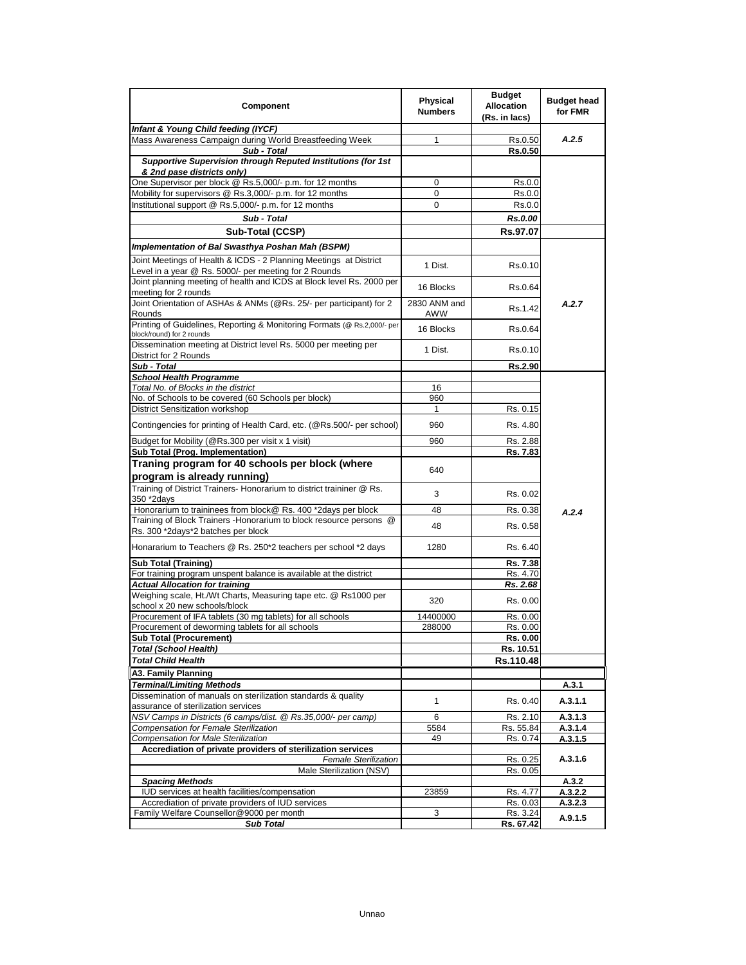| Component                                                                                                                  | <b>Physical</b><br><b>Numbers</b> | <b>Budget</b><br><b>Allocation</b><br>(Rs. in lacs) | <b>Budget head</b><br>for FMR |
|----------------------------------------------------------------------------------------------------------------------------|-----------------------------------|-----------------------------------------------------|-------------------------------|
| Infant & Young Child feeding (IYCF)                                                                                        |                                   |                                                     |                               |
| Mass Awareness Campaign during World Breastfeeding Week                                                                    | 1                                 | Rs.0.50                                             | A.2.5                         |
| Sub - Total                                                                                                                |                                   | <b>Rs.0.50</b>                                      |                               |
| Supportive Supervision through Reputed Institutions (for 1st<br>& 2nd pase districts only)                                 |                                   |                                                     |                               |
| One Supervisor per block @ Rs.5,000/- p.m. for 12 months                                                                   | 0                                 | Rs.0.0                                              |                               |
| Mobility for supervisors @ Rs.3,000/- p.m. for 12 months                                                                   | 0                                 | Rs.0.0                                              |                               |
| Institutional support @ Rs.5,000/- p.m. for 12 months                                                                      | 0                                 | Rs.0.0                                              |                               |
| Sub - Total                                                                                                                |                                   | Rs.0.00                                             |                               |
| Sub-Total (CCSP)                                                                                                           |                                   | Rs.97.07                                            |                               |
| Implementation of Bal Swasthya Poshan Mah (BSPM)                                                                           |                                   |                                                     |                               |
| Joint Meetings of Health & ICDS - 2 Planning Meetings at District<br>Level in a year @ Rs. 5000/- per meeting for 2 Rounds | 1 Dist.                           | Rs.0.10                                             |                               |
| Joint planning meeting of health and ICDS at Block level Rs. 2000 per<br>meeting for 2 rounds                              | 16 Blocks                         | Rs.0.64                                             |                               |
| Joint Orientation of ASHAs & ANMs (@Rs. 25/- per participant) for 2<br>Rounds                                              | 2830 ANM and<br>AWW               | Rs.1.42                                             | A.2.7                         |
| Printing of Guidelines, Reporting & Monitoring Formats (@ Rs.2,000/- per<br>block/round) for 2 rounds                      | 16 Blocks                         | Rs.0.64                                             |                               |
| Dissemination meeting at District level Rs. 5000 per meeting per<br>District for 2 Rounds                                  | 1 Dist.                           | Rs 0.10                                             |                               |
| Sub - Total                                                                                                                |                                   | Rs.2.90                                             |                               |
| <b>School Health Programme</b>                                                                                             |                                   |                                                     |                               |
| Total No. of Blocks in the district                                                                                        | 16                                |                                                     |                               |
| No. of Schools to be covered (60 Schools per block)                                                                        | 960                               |                                                     |                               |
| District Sensitization workshop                                                                                            | 1                                 | Rs. 0.15                                            |                               |
| Contingencies for printing of Health Card, etc. (@Rs.500/- per school)                                                     | 960                               | Rs. 4.80                                            |                               |
| Budget for Mobility (@Rs.300 per visit x 1 visit)                                                                          | 960                               | Rs. 2.88                                            |                               |
| Sub Total (Prog. Implementation)                                                                                           |                                   | Rs. 7.83                                            |                               |
| Traning program for 40 schools per block (where<br>program is already running)                                             | 640                               |                                                     |                               |
| Training of District Trainers- Honorarium to district traininer @ Rs.<br>350 *2days                                        | 3                                 | Rs. 0.02                                            |                               |
| Honorarium to traininees from block@ Rs. 400 *2days per block                                                              | 48                                | Rs. 0.38                                            | A.2.4                         |
| Training of Block Trainers - Honorarium to block resource persons @                                                        | 48                                | Rs. 0.58                                            |                               |
| Rs. 300 *2days*2 batches per block                                                                                         |                                   |                                                     |                               |
| Honararium to Teachers @ Rs. 250*2 teachers per school *2 days                                                             | 1280                              | Rs 6.40                                             |                               |
| <b>Sub Total (Training)</b>                                                                                                |                                   | Rs. 7.38                                            |                               |
| For training program unspent balance is available at the district                                                          |                                   | Rs. 4.70                                            |                               |
| <b>Actual Allocation for training</b>                                                                                      |                                   | Rs. 2.68                                            |                               |
| Weighing scale, Ht./Wt Charts, Measuring tape etc. @ Rs1000 per<br>school x 20 new schools/block                           | 320                               | Rs. 0.00                                            |                               |
| Procurement of IFA tablets (30 mg tablets) for all schools<br>Procurement of deworming tablets for all schools             | 14400000                          | Rs. 0.00<br>Rs. 0.00                                |                               |
| <b>Sub Total (Procurement)</b>                                                                                             | 288000                            | Rs. 0.00                                            |                               |
| <b>Total (School Health)</b>                                                                                               |                                   | Rs. 10.51                                           |                               |
| <b>Total Child Health</b>                                                                                                  |                                   | Rs.110.48                                           |                               |
| A3. Family Planning                                                                                                        |                                   |                                                     |                               |
| <b>Terminal/Limiting Methods</b>                                                                                           |                                   |                                                     | A.3.1                         |
| Dissemination of manuals on sterilization standards & quality<br>assurance of sterilization services                       | 1                                 | Rs. 0.40                                            | A.3.1.1                       |
| NSV Camps in Districts (6 camps/dist. @ Rs.35,000/- per camp)                                                              | 6                                 | Rs. 2.10                                            | A.3.1.3                       |
| Compensation for Female Sterilization                                                                                      | 5584                              | Rs. 55.84                                           | A.3.1.4                       |
| <b>Compensation for Male Sterilization</b>                                                                                 | 49                                | Rs. 0.74                                            | A.3.1.5                       |
| Accrediation of private providers of sterilization services                                                                |                                   |                                                     |                               |
| <b>Female Sterilization</b>                                                                                                |                                   | Rs. 0.25                                            | A.3.1.6                       |
| Male Sterilization (NSV)                                                                                                   |                                   | Rs. 0.05                                            |                               |
| <b>Spacing Methods</b><br>IUD services at health facilities/compensation                                                   | 23859                             | Rs. 4.77                                            | A.3.2<br>A.3.2.2              |
| Accrediation of private providers of IUD services                                                                          |                                   | Rs. 0.03                                            | A.3.2.3                       |
| Family Welfare Counsellor@9000 per month                                                                                   | 3                                 | Rs. 3.24                                            |                               |
| <b>Sub Total</b>                                                                                                           |                                   | Rs. 67.42                                           | A.9.1.5                       |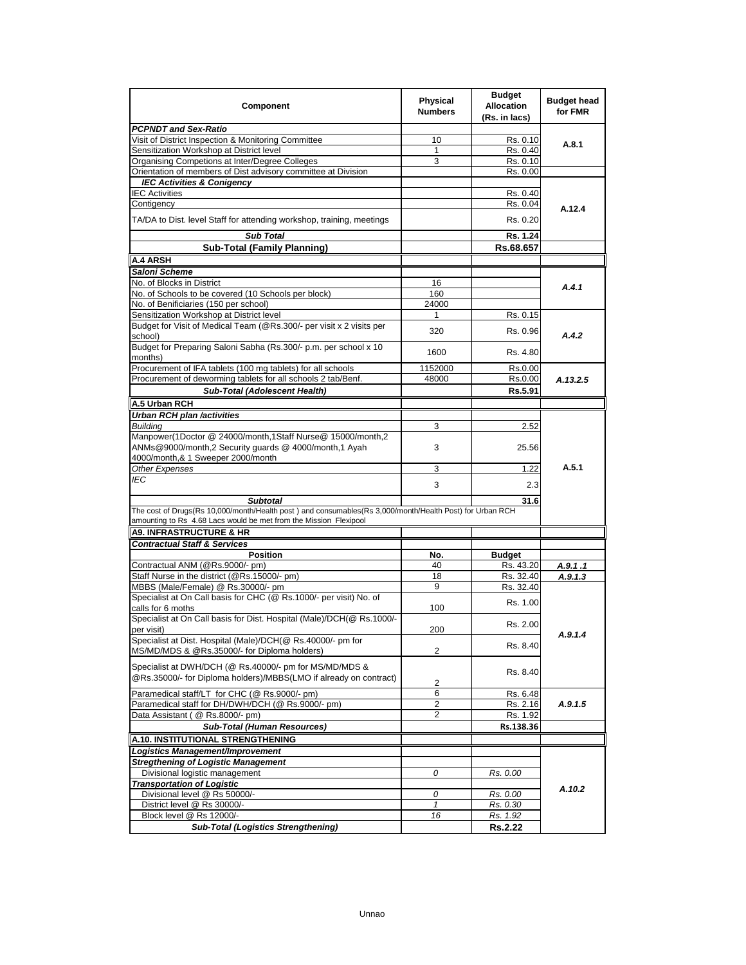| Component                                                                                                                                                                     | <b>Physical</b><br><b>Numbers</b> | <b>Budget</b><br><b>Allocation</b><br>(Rs. in lacs) | <b>Budget head</b><br>for FMR |
|-------------------------------------------------------------------------------------------------------------------------------------------------------------------------------|-----------------------------------|-----------------------------------------------------|-------------------------------|
| <b>PCPNDT and Sex-Ratio</b>                                                                                                                                                   |                                   |                                                     |                               |
| Visit of District Inspection & Monitoring Committee                                                                                                                           | 10                                | Rs. 0.10                                            | A.8.1                         |
| Sensitization Workshop at District level                                                                                                                                      | $\mathbf{1}$                      | Rs. 0.40                                            |                               |
| Organising Competions at Inter/Degree Colleges                                                                                                                                | 3                                 | Rs. 0.10                                            |                               |
| Orientation of members of Dist advisory committee at Division                                                                                                                 |                                   | Rs. 0.00                                            |                               |
| <b>IEC Activities &amp; Conigency</b><br><b>IEC Activities</b>                                                                                                                |                                   | Rs. 0.40                                            |                               |
| Contigency                                                                                                                                                                    |                                   | Rs. 0.04                                            |                               |
|                                                                                                                                                                               |                                   |                                                     | A.12.4                        |
| TA/DA to Dist. level Staff for attending workshop, training, meetings                                                                                                         |                                   | Rs 0.20                                             |                               |
| <b>Sub Total</b>                                                                                                                                                              |                                   | Rs. 1.24                                            |                               |
| <b>Sub-Total (Family Planning)</b>                                                                                                                                            |                                   | Rs.68.657                                           |                               |
| A.4 ARSH                                                                                                                                                                      |                                   |                                                     |                               |
| Saloni Scheme                                                                                                                                                                 |                                   |                                                     |                               |
| No. of Blocks in District                                                                                                                                                     | 16                                |                                                     | A.4.1                         |
| No. of Schools to be covered (10 Schools per block)                                                                                                                           | 160                               |                                                     |                               |
| No. of Benificiaries (150 per school)                                                                                                                                         | 24000                             |                                                     |                               |
| Sensitization Workshop at District level                                                                                                                                      | 1                                 | Rs. 0.15                                            |                               |
| Budget for Visit of Medical Team (@Rs.300/- per visit x 2 visits per<br>school)                                                                                               | 320                               | Rs. 0.96                                            | A.4.2                         |
| Budget for Preparing Saloni Sabha (Rs.300/- p.m. per school x 10<br>months)                                                                                                   | 1600                              | Rs 4.80                                             |                               |
| Procurement of IFA tablets (100 mg tablets) for all schools                                                                                                                   | 1152000                           | Rs.0.00                                             |                               |
| Procurement of deworming tablets for all schools 2 tab/Benf.                                                                                                                  | 48000                             | Rs.0.00                                             | A.13.2.5                      |
| <b>Sub-Total (Adolescent Health)</b>                                                                                                                                          |                                   | Rs.5.91                                             |                               |
| A.5 Urban RCH                                                                                                                                                                 |                                   |                                                     |                               |
| Urban RCH plan /activities                                                                                                                                                    |                                   |                                                     |                               |
| <b>Building</b>                                                                                                                                                               | 3                                 | 2.52                                                |                               |
| Manpower(1Doctor @ 24000/month,1Staff Nurse@ 15000/month,2<br>ANMs@9000/month,2 Security guards @ 4000/month,1 Ayah                                                           | 3                                 | 25.56                                               |                               |
| 4000/month,& 1 Sweeper 2000/month                                                                                                                                             |                                   |                                                     |                               |
| Other Expenses                                                                                                                                                                | 3                                 | 1.22                                                | A.5.1                         |
| IEC                                                                                                                                                                           | 3                                 | 2.3                                                 |                               |
| <b>Subtotal</b>                                                                                                                                                               |                                   | 31.6                                                |                               |
| The cost of Drugs(Rs 10,000/month/Health post) and consumables(Rs 3,000/month/Health Post) for Urban RCH<br>amounting to Rs 4.68 Lacs would be met from the Mission Flexipool |                                   |                                                     |                               |
| <b>A9. INFRASTRUCTURE &amp; HR</b>                                                                                                                                            |                                   |                                                     |                               |
| <b>Contractual Staff &amp; Services</b>                                                                                                                                       |                                   |                                                     |                               |
| <b>Position</b>                                                                                                                                                               | No.                               | <b>Budget</b>                                       |                               |
| Contractual ANM (@Rs.9000/- pm)                                                                                                                                               | 40                                | Rs. 43.20                                           | A.9.1.1                       |
| Staff Nurse in the district (@Rs.15000/- pm)                                                                                                                                  | 18                                | Rs. 32.40                                           | A.9.1.3                       |
| MBBS (Male/Female) @ Rs.30000/- pm                                                                                                                                            | 9                                 | Rs. 32.40                                           |                               |
| Specialist at On Call basis for CHC (@ Rs.1000/- per visit) No. of<br>calls for 6 moths                                                                                       | 100                               | Rs. 1.00                                            |                               |
| Specialist at On Call basis for Dist. Hospital (Male)/DCH(@ Rs.1000/-                                                                                                         |                                   |                                                     |                               |
| per visit)                                                                                                                                                                    | 200                               | Rs. 2.00                                            | A.9.1.4                       |
| Specialist at Dist. Hospital (Male)/DCH(@ Rs.40000/- pm for<br>MS/MD/MDS & @Rs.35000/- for Diploma holders)                                                                   | 2                                 | Rs. 8.40                                            |                               |
| Specialist at DWH/DCH (@ Rs.40000/- pm for MS/MD/MDS &<br>@Rs.35000/- for Diploma holders)/MBBS(LMO if already on contract)                                                   | 2                                 | Rs. 8.40                                            |                               |
| Paramedical staff/LT for CHC (@ Rs.9000/- pm)                                                                                                                                 | 6                                 | Rs. 6.48                                            |                               |
| Paramedical staff for DH/DWH/DCH (@ Rs.9000/- pm)                                                                                                                             | 2                                 | Rs. 2.16                                            | A.9.1.5                       |
| Data Assistant (@ Rs.8000/- pm)                                                                                                                                               | 2                                 | Rs. 1.92                                            |                               |
| <b>Sub-Total (Human Resources)</b>                                                                                                                                            |                                   | Rs.138.36                                           |                               |
| A.10. INSTITUTIONAL STRENGTHENING                                                                                                                                             |                                   |                                                     |                               |
| Logistics Management/Improvement                                                                                                                                              |                                   |                                                     |                               |
| <b>Stregthening of Logistic Management</b>                                                                                                                                    |                                   |                                                     |                               |
| Divisional logistic management                                                                                                                                                | 0                                 | Rs. 0.00                                            |                               |
| <b>Transportation of Logistic</b>                                                                                                                                             |                                   |                                                     |                               |
| Divisional level @ Rs 50000/-                                                                                                                                                 | 0                                 | Rs. 0.00                                            | A.10.2                        |
| District level @ Rs 30000/-                                                                                                                                                   | 1                                 | Rs. 0.30                                            |                               |
| Block level @ Rs 12000/-                                                                                                                                                      | 16                                | Rs. 1.92                                            |                               |
| <b>Sub-Total (Logistics Strengthening)</b>                                                                                                                                    |                                   | <b>Rs.2.22</b>                                      |                               |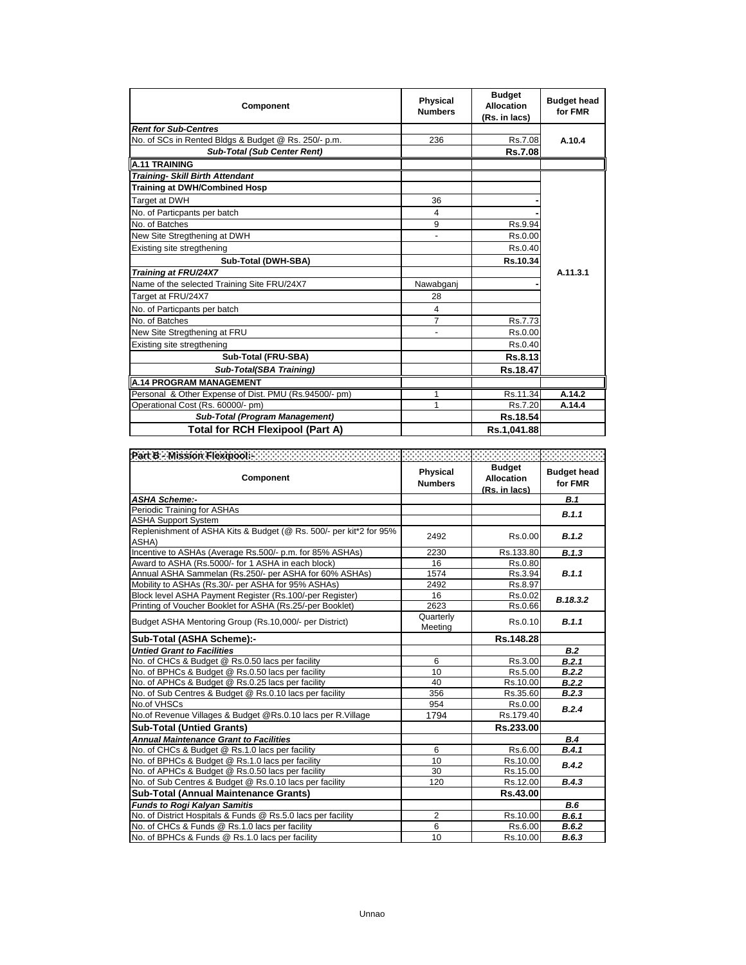| Component                                             | <b>Physical</b><br><b>Numbers</b> | <b>Budget</b><br><b>Allocation</b><br>(Rs. in lacs) | <b>Budget head</b><br>for FMR |
|-------------------------------------------------------|-----------------------------------|-----------------------------------------------------|-------------------------------|
| <b>Rent for Sub-Centres</b>                           |                                   |                                                     |                               |
| No. of SCs in Rented Bldgs & Budget @ Rs. 250/- p.m.  | 236                               | Rs.7.08                                             | A.10.4                        |
| <b>Sub-Total (Sub Center Rent)</b>                    |                                   | <b>Rs.7.08</b>                                      |                               |
| <b>A.11 TRAINING</b>                                  |                                   |                                                     |                               |
| <b>Training- Skill Birth Attendant</b>                |                                   |                                                     |                               |
| <b>Training at DWH/Combined Hosp</b>                  |                                   |                                                     |                               |
| Target at DWH                                         | 36                                |                                                     |                               |
| No. of Particpants per batch                          | 4                                 |                                                     |                               |
| No. of Batches                                        | 9                                 | Rs.9.94                                             |                               |
| New Site Stregthening at DWH                          |                                   | Rs.0.00                                             |                               |
| Existing site stregthening                            |                                   | Rs.0.40                                             |                               |
| Sub-Total (DWH-SBA)                                   |                                   | Rs.10.34                                            |                               |
| Training at FRU/24X7                                  |                                   |                                                     | A.11.3.1                      |
| Name of the selected Training Site FRU/24X7           | Nawabganj                         |                                                     |                               |
| Target at FRU/24X7                                    | 28                                |                                                     |                               |
| No. of Particpants per batch                          | 4                                 |                                                     |                               |
| No. of Batches                                        | $\overline{7}$                    | Rs.7.73                                             |                               |
| New Site Stregthening at FRU                          | $\blacksquare$                    | Rs.0.00                                             |                               |
| Existing site stregthening                            |                                   | Rs.0.40                                             |                               |
| Sub-Total (FRU-SBA)                                   |                                   | Rs.8.13                                             |                               |
| <b>Sub-Total(SBA Training)</b>                        |                                   | Rs.18.47                                            |                               |
| <b>A.14 PROGRAM MANAGEMENT</b>                        |                                   |                                                     |                               |
| Personal & Other Expense of Dist. PMU (Rs.94500/- pm) | 1                                 | Rs.11.34                                            | A.14.2                        |
| Operational Cost (Rs. 60000/- pm)                     | 1                                 | Rs.7.20                                             | A.14.4                        |
| <b>Sub-Total (Program Management)</b>                 |                                   | Rs.18.54                                            |                               |
| <b>Total for RCH Flexipool (Part A)</b>               |                                   | Rs.1,041.88                                         |                               |

| Part B - Mission Flexipools - The Contract of the Contract of Contract of<br>Component | <b>Physical</b><br><b>Numbers</b> | <b>Budget</b><br><b>Allocation</b><br>(Rs. in lacs) | <b>Budget head</b><br>for FMR |
|----------------------------------------------------------------------------------------|-----------------------------------|-----------------------------------------------------|-------------------------------|
| <b>ASHA Scheme:-</b>                                                                   |                                   |                                                     | B.1                           |
| Periodic Training for ASHAs                                                            |                                   |                                                     | B.1.1                         |
| <b>ASHA Support System</b>                                                             |                                   |                                                     |                               |
| Replenishment of ASHA Kits & Budget (@ Rs. 500/- per kit*2 for 95%<br>ASHA)            | 2492                              | Rs.0.00                                             | B.1.2                         |
| Incentive to ASHAs (Average Rs.500/- p.m. for 85% ASHAs)                               | 2230                              | Rs.133.80                                           | B.1.3                         |
| Award to ASHA (Rs.5000/- for 1 ASHA in each block)                                     | 16                                | Rs.0.80                                             |                               |
| Annual ASHA Sammelan (Rs.250/- per ASHA for 60% ASHAs)                                 | 1574                              | Rs.3.94                                             | B.1.1                         |
| Mobility to ASHAs (Rs.30/- per ASHA for 95% ASHAs)                                     | 2492                              | Rs.8.97                                             |                               |
| Block level ASHA Payment Register (Rs.100/-per Register)                               | 16                                | Rs.0.02                                             | B.18.3.2                      |
| Printing of Voucher Booklet for ASHA (Rs.25/-per Booklet)                              | 2623                              | Rs.0.66                                             |                               |
| Budget ASHA Mentoring Group (Rs.10,000/- per District)                                 | Quarterly<br>Meeting              | Rs.0.10                                             | B.1.1                         |
| Sub-Total (ASHA Scheme):-                                                              |                                   | Rs.148.28                                           |                               |
| <b>Untied Grant to Facilities</b>                                                      |                                   |                                                     | B.2                           |
| No. of CHCs & Budget @ Rs.0.50 lacs per facility                                       | 6                                 | Rs.3.00                                             | B.2.1                         |
| No. of BPHCs & Budget @ Rs.0.50 lacs per facility                                      | 10                                | Rs.5.00                                             | B.2.2                         |
| No. of APHCs & Budget @ Rs.0.25 lacs per facility                                      | 40                                | Rs.10.00                                            | B.2.2                         |
| No. of Sub Centres & Budget @ Rs.0.10 lacs per facility                                | 356                               | Rs.35.60                                            | B.2.3                         |
| No.of VHSCs                                                                            | 954                               | Rs.0.00                                             | B.2.4                         |
| No.of Revenue Villages & Budget @Rs.0.10 lacs per R.Village                            | 1794                              | Rs.179.40                                           |                               |
| <b>Sub-Total (Untied Grants)</b>                                                       |                                   | Rs.233.00                                           |                               |
| <b>Annual Maintenance Grant to Facilities</b>                                          |                                   |                                                     | B.4                           |
| No. of CHCs & Budget @ Rs.1.0 lacs per facility                                        | 6                                 | Rs.6.00                                             | B.4.1                         |
| No. of BPHCs & Budget @ Rs.1.0 lacs per facility                                       | 10                                | Rs.10.00                                            | B.4.2                         |
| No. of APHCs & Budget @ Rs.0.50 lacs per facility                                      | 30                                | Rs.15.00                                            |                               |
| No. of Sub Centres & Budget @ Rs.0.10 lacs per facility                                | 120                               | Rs.12.00                                            | B.4.3                         |
| Sub-Total (Annual Maintenance Grants)                                                  |                                   | Rs.43.00                                            |                               |
| <b>Funds to Rogi Kalyan Samitis</b>                                                    |                                   |                                                     | B.6                           |
| No. of District Hospitals & Funds @ Rs.5.0 lacs per facility                           | $\overline{2}$                    | Rs.10.00                                            | B.6.1                         |
| No. of CHCs & Funds @ Rs.1.0 lacs per facility                                         | 6                                 | Rs.6.00                                             | B.6.2                         |
| No. of BPHCs & Funds @ Rs.1.0 lacs per facility                                        | 10                                | Rs.10.00                                            | B.6.3                         |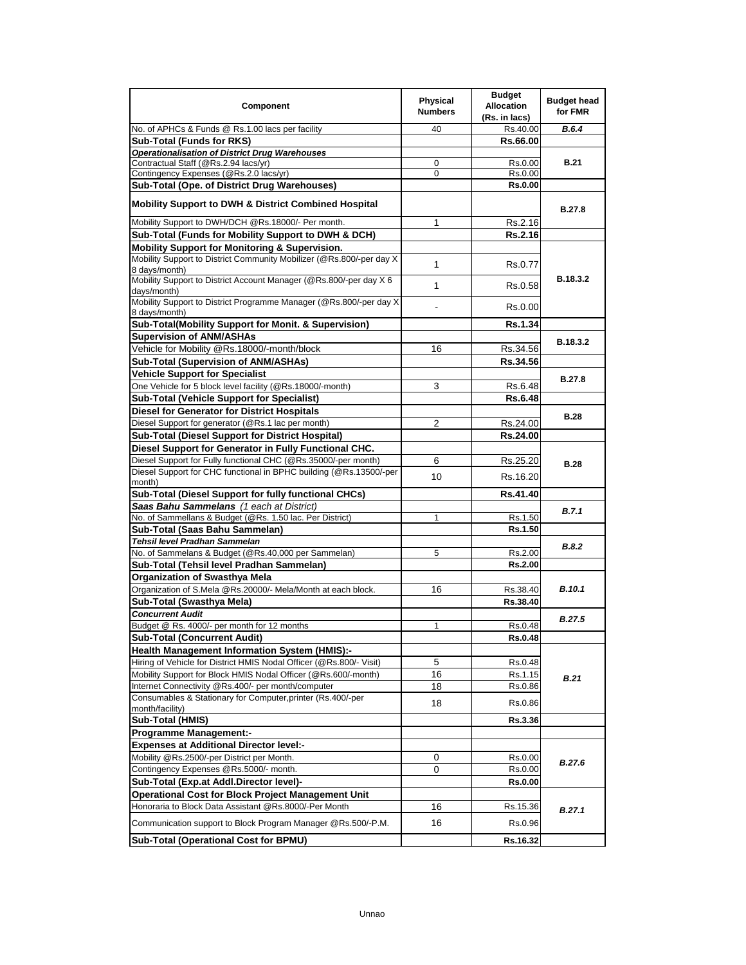| Component                                                                                                               | <b>Physical</b><br><b>Numbers</b> | <b>Budget</b><br><b>Allocation</b><br>(Rs. in lacs) | <b>Budget head</b><br>for FMR |
|-------------------------------------------------------------------------------------------------------------------------|-----------------------------------|-----------------------------------------------------|-------------------------------|
| No. of APHCs & Funds @ Rs.1.00 lacs per facility                                                                        | 40                                | Rs.40.00                                            | B.6.4                         |
| <b>Sub-Total (Funds for RKS)</b>                                                                                        |                                   | Rs.66.00                                            |                               |
| <b>Operationalisation of District Drug Warehouses</b>                                                                   |                                   |                                                     |                               |
| Contractual Staff (@Rs.2.94 lacs/yr)                                                                                    | 0                                 | Rs.0.00                                             | <b>B.21</b>                   |
| Contingency Expenses (@Rs.2.0 lacs/yr)                                                                                  | 0                                 | Rs.0.00                                             |                               |
| Sub-Total (Ope. of District Drug Warehouses)                                                                            |                                   | <b>Rs.0.00</b>                                      |                               |
| <b>Mobility Support to DWH &amp; District Combined Hospital</b>                                                         |                                   |                                                     | <b>B.27.8</b>                 |
| Mobility Support to DWH/DCH @Rs.18000/- Per month.                                                                      | 1                                 | Rs.2.16                                             |                               |
| Sub-Total (Funds for Mobility Support to DWH & DCH)                                                                     |                                   | <b>Rs.2.16</b>                                      |                               |
| Mobility Support for Monitoring & Supervision.<br>Mobility Support to District Community Mobilizer (@Rs.800/-per day X) |                                   |                                                     |                               |
| 8 days/month)                                                                                                           | 1                                 | Rs.0.77                                             |                               |
| Mobility Support to District Account Manager (@Rs.800/-per day X 6<br>days/month)                                       | 1                                 | Rs.0.58                                             | B.18.3.2                      |
| Mobility Support to District Programme Manager (@Rs.800/-per day X<br>8 days/month)                                     |                                   | Rs.0.00                                             |                               |
| Sub-Total(Mobility Support for Monit. & Supervision)                                                                    |                                   | <b>Rs.1.34</b>                                      |                               |
| <b>Supervision of ANM/ASHAs</b>                                                                                         |                                   |                                                     |                               |
| Vehicle for Mobility @Rs.18000/-month/block                                                                             | 16                                | Rs.34.56                                            | B.18.3.2                      |
| Sub-Total (Supervision of ANM/ASHAs)                                                                                    |                                   | Rs.34.56                                            |                               |
| <b>Vehicle Support for Specialist</b>                                                                                   |                                   |                                                     |                               |
| One Vehicle for 5 block level facility (@Rs.18000/-month)                                                               | 3                                 | Rs.6.48                                             | <b>B.27.8</b>                 |
| Sub-Total (Vehicle Support for Specialist)                                                                              |                                   | <b>Rs.6.48</b>                                      |                               |
| <b>Diesel for Generator for District Hospitals</b>                                                                      |                                   |                                                     |                               |
| Diesel Support for generator (@Rs.1 lac per month)                                                                      | 2                                 | Rs.24.00                                            | <b>B.28</b>                   |
| Sub-Total (Diesel Support for District Hospital)                                                                        |                                   | Rs.24.00                                            |                               |
| Diesel Support for Generator in Fully Functional CHC.                                                                   |                                   |                                                     |                               |
| Diesel Support for Fully functional CHC (@Rs.35000/-per month)                                                          | 6                                 | Rs.25.20                                            |                               |
| Diesel Support for CHC functional in BPHC building (@Rs.13500/-per                                                      |                                   |                                                     | <b>B.28</b>                   |
| month)                                                                                                                  | 10                                | Rs.16.20                                            |                               |
| Sub-Total (Diesel Support for fully functional CHCs)                                                                    |                                   | Rs.41.40                                            |                               |
| Saas Bahu Sammelans (1 each at District)                                                                                |                                   |                                                     |                               |
| No. of Sammellans & Budget (@Rs. 1.50 lac. Per District)                                                                | $\mathbf{1}$                      | Rs.1.50                                             | B.7.1                         |
| Sub-Total (Saas Bahu Sammelan)                                                                                          |                                   | Rs.1.50                                             |                               |
| Tehsil level Pradhan Sammelan                                                                                           |                                   |                                                     | B.8.2                         |
| No. of Sammelans & Budget (@Rs.40,000 per Sammelan)                                                                     | 5                                 | Rs.2.00                                             |                               |
| Sub-Total (Tehsil level Pradhan Sammelan)                                                                               |                                   | Rs.2.00                                             |                               |
| <b>Organization of Swasthya Mela</b>                                                                                    |                                   |                                                     |                               |
| Organization of S.Mela @Rs.20000/- Mela/Month at each block.                                                            | 16                                | Rs.38.40                                            | <b>B.10.1</b>                 |
| Sub-Total (Swasthya Mela)                                                                                               |                                   | Rs.38.40                                            |                               |
| <b>Concurrent Audit</b>                                                                                                 |                                   |                                                     | <b>B.27.5</b>                 |
| Budget @ Rs. 4000/- per month for 12 months                                                                             | 1                                 | Rs.0.48                                             |                               |
| Sub-Total (Concurrent Audit)                                                                                            |                                   | Rs.0.48                                             |                               |
| <b>Health Management Information System (HMIS):-</b>                                                                    |                                   |                                                     |                               |
| Hiring of Vehicle for District HMIS Nodal Officer (@Rs.800/- Visit)                                                     | 5                                 | Rs.0.48                                             |                               |
| Mobility Support for Block HMIS Nodal Officer (@Rs.600/-month)                                                          | 16                                | Rs.1.15                                             | B.21                          |
| Internet Connectivity @Rs.400/- per month/computer                                                                      | 18                                | Rs.0.86                                             |                               |
| Consumables & Stationary for Computer, printer (Rs.400/-per<br>month/facility)                                          | 18                                | Rs.0.86                                             |                               |
| Sub-Total (HMIS)                                                                                                        |                                   | <b>Rs.3.36</b>                                      |                               |
| <b>Programme Management:-</b>                                                                                           |                                   |                                                     |                               |
| <b>Expenses at Additional Director level:-</b>                                                                          |                                   |                                                     |                               |
| Mobility @Rs.2500/-per District per Month.                                                                              | 0                                 | Rs.0.00                                             | <b>B.27.6</b>                 |
| Contingency Expenses @Rs.5000/- month.                                                                                  | 0                                 | Rs.0.00                                             |                               |
| Sub-Total (Exp.at Addl.Director level)-                                                                                 |                                   | Rs.0.00                                             |                               |
| Operational Cost for Block Project Management Unit                                                                      |                                   |                                                     |                               |
| Honoraria to Block Data Assistant @Rs.8000/-Per Month                                                                   | 16                                | Rs.15.36                                            | B.27.1                        |
| Communication support to Block Program Manager @Rs.500/-P.M.                                                            | 16                                | Rs.0.96                                             |                               |
| Sub-Total (Operational Cost for BPMU)                                                                                   |                                   | Rs.16.32                                            |                               |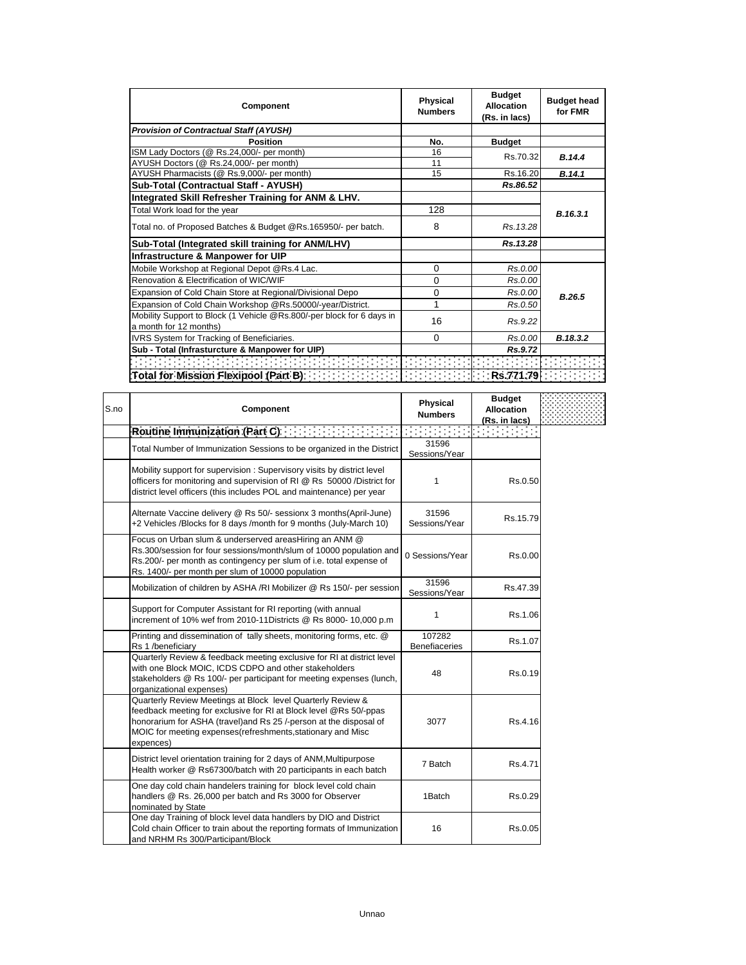| <b>Component</b>                                                                            | <b>Physical</b><br><b>Numbers</b> | <b>Budget</b><br><b>Allocation</b><br>(Rs. in lacs) | <b>Budget head</b><br>for FMR |
|---------------------------------------------------------------------------------------------|-----------------------------------|-----------------------------------------------------|-------------------------------|
| <b>Provision of Contractual Staff (AYUSH)</b>                                               |                                   |                                                     |                               |
| <b>Position</b>                                                                             | No.                               | <b>Budget</b>                                       |                               |
| ISM Lady Doctors (@ Rs.24,000/- per month)                                                  | 16                                | Rs.70.32                                            | B.14.4                        |
| AYUSH Doctors (@ Rs.24,000/- per month)                                                     | 11                                |                                                     |                               |
| AYUSH Pharmacists (@ Rs.9,000/- per month)                                                  | 15                                | Rs.16.20                                            | B.14.1                        |
| Sub-Total (Contractual Staff - AYUSH)                                                       |                                   | Rs.86.52                                            |                               |
| Integrated Skill Refresher Training for ANM & LHV.                                          |                                   |                                                     |                               |
| Total Work load for the year                                                                | 128                               |                                                     | B.16.3.1                      |
| Total no. of Proposed Batches & Budget @Rs.165950/- per batch.                              | 8                                 | Rs. 13.28                                           |                               |
| Sub-Total (Integrated skill training for ANM/LHV)                                           |                                   | Rs.13.28                                            |                               |
| Infrastructure & Manpower for UIP                                                           |                                   |                                                     |                               |
| Mobile Workshop at Regional Depot @Rs.4 Lac.                                                | 0                                 | Rs.0.00                                             |                               |
| Renovation & Electrification of WIC/WIF                                                     | $\Omega$                          | Rs.0.00                                             |                               |
| Expansion of Cold Chain Store at Regional/Divisional Depo                                   | 0                                 | Rs.0.00                                             | B.26.5                        |
| Expansion of Cold Chain Workshop @Rs.50000/-year/District.                                  | 1                                 | Rs.0.50                                             |                               |
| Mobility Support to Block (1 Vehicle @Rs.800/-per block for 6 days in                       |                                   |                                                     |                               |
| a month for 12 months)                                                                      | 16                                | Rs.9.22                                             |                               |
| IVRS System for Tracking of Beneficiaries.                                                  | $\Omega$                          | Rs.0.00                                             | B.18.3.2                      |
| Sub - Total (Infrasturcture & Manpower for UIP)                                             |                                   | Rs.9.72                                             |                               |
|                                                                                             |                                   |                                                     |                               |
| Total for Mission Flexipool (Part B) $\cdots$ and $\cdots$ is a set of $\cdots$ in $\cdots$ |                                   | Rs.771.79                                           |                               |

| S.no | Component                                                                                                                                                                                                                                                                           | <b>Physical</b><br><b>Numbers</b> | <b>Budget</b><br><b>Allocation</b><br>(Rs. in lacs) |  |
|------|-------------------------------------------------------------------------------------------------------------------------------------------------------------------------------------------------------------------------------------------------------------------------------------|-----------------------------------|-----------------------------------------------------|--|
|      | Routine Immunization (Part C)                                                                                                                                                                                                                                                       |                                   | a a sa salawa                                       |  |
|      | Total Number of Immunization Sessions to be organized in the District                                                                                                                                                                                                               | 31596<br>Sessions/Year            |                                                     |  |
|      | Mobility support for supervision: Supervisory visits by district level<br>officers for monitoring and supervision of RI @ Rs 50000 /District for<br>district level officers (this includes POL and maintenance) per year                                                            | 1                                 | Rs.0.50                                             |  |
|      | Alternate Vaccine delivery @ Rs 50/- sessionx 3 months(April-June)<br>+2 Vehicles /Blocks for 8 days /month for 9 months (July-March 10)                                                                                                                                            | 31596<br>Sessions/Year            | Rs.15.79                                            |  |
|      | Focus on Urban slum & underserved areasHiring an ANM @<br>Rs.300/session for four sessions/month/slum of 10000 population and<br>Rs.200/- per month as contingency per slum of i.e. total expense of<br>Rs. 1400/- per month per slum of 10000 population                           | 0 Sessions/Year                   | Rs.0.00                                             |  |
|      | Mobilization of children by ASHA /RI Mobilizer @ Rs 150/- per session                                                                                                                                                                                                               | 31596<br>Sessions/Year            | Rs.47.39                                            |  |
|      | Support for Computer Assistant for RI reporting (with annual<br>increment of 10% wef from 2010-11Districts @ Rs 8000- 10,000 p.m                                                                                                                                                    | 1                                 | Rs 1.06                                             |  |
|      | Printing and dissemination of tally sheets, monitoring forms, etc. @<br>Rs 1 /beneficiary                                                                                                                                                                                           | 107282<br><b>Benefiaceries</b>    | Rs.1.07                                             |  |
|      | Quarterly Review & feedback meeting exclusive for RI at district level<br>with one Block MOIC, ICDS CDPO and other stakeholders<br>stakeholders @ Rs 100/- per participant for meeting expenses (lunch,<br>organizational expenses)                                                 | 48                                | Rs.0.19                                             |  |
|      | Quarterly Review Meetings at Block level Quarterly Review &<br>feedback meeting for exclusive for RI at Block level @Rs 50/-ppas<br>honorarium for ASHA (travel) and Rs 25 /-person at the disposal of<br>MOIC for meeting expenses (refreshments, stationary and Misc<br>expences) | 3077                              | Rs.4.16                                             |  |
|      | District level orientation training for 2 days of ANM, Multipurpose<br>Health worker @ Rs67300/batch with 20 participants in each batch                                                                                                                                             | 7 Batch                           | Rs.4.71                                             |  |
|      | One day cold chain handelers training for block level cold chain<br>handlers @ Rs. 26,000 per batch and Rs 3000 for Observer<br>nominated by State                                                                                                                                  | 1Batch                            | Rs.0.29                                             |  |
|      | One day Training of block level data handlers by DIO and District<br>Cold chain Officer to train about the reporting formats of Immunization<br>and NRHM Rs 300/Participant/Block                                                                                                   | 16                                | Rs.0.05                                             |  |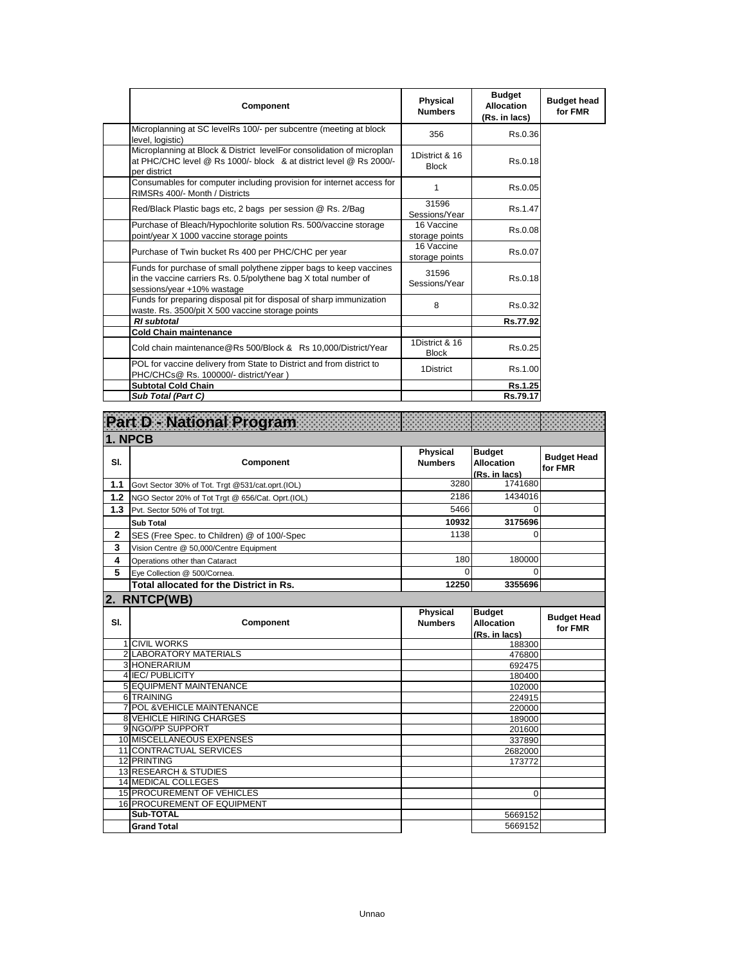| <b>Component</b>                                                                                                                                                    | Physical<br><b>Numbers</b>     | <b>Budget</b><br><b>Allocation</b><br>(Rs. in lacs) | <b>Budget head</b><br>for FMR |
|---------------------------------------------------------------------------------------------------------------------------------------------------------------------|--------------------------------|-----------------------------------------------------|-------------------------------|
| Microplanning at SC levelRs 100/- per subcentre (meeting at block<br>level. logistic)                                                                               | 356                            | Rs.0.36                                             |                               |
| Microplanning at Block & District levelFor consolidation of microplan<br>at PHC/CHC level @ Rs 1000/- block & at district level @ Rs 2000/-<br>per district         | 1District & 16<br><b>Block</b> | Rs.0.18                                             |                               |
| Consumables for computer including provision for internet access for<br>RIMSRs 400/- Month / Districts                                                              | 1                              | Rs.0.05                                             |                               |
| Red/Black Plastic bags etc, 2 bags per session @ Rs. 2/Bag                                                                                                          | 31596<br>Sessions/Year         | Rs.1.47                                             |                               |
| Purchase of Bleach/Hypochlorite solution Rs. 500/vaccine storage<br>point/year X 1000 vaccine storage points                                                        | 16 Vaccine<br>storage points   | Rs.0.08                                             |                               |
| Purchase of Twin bucket Rs 400 per PHC/CHC per year                                                                                                                 | 16 Vaccine<br>storage points   | Rs.0.07                                             |                               |
| Funds for purchase of small polythene zipper bags to keep vaccines<br>in the vaccine carriers Rs. 0.5/polythene bag X total number of<br>sessions/year +10% wastage | 31596<br>Sessions/Year         | Rs.0.18                                             |                               |
| Funds for preparing disposal pit for disposal of sharp immunization<br>waste. Rs. 3500/pit X 500 vaccine storage points                                             | 8                              | Rs.0.32                                             |                               |
| <b>RI</b> subtotal                                                                                                                                                  |                                | Rs.77.92                                            |                               |
| <b>Cold Chain maintenance</b>                                                                                                                                       |                                |                                                     |                               |
| Cold chain maintenance@Rs 500/Block & Rs 10,000/District/Year                                                                                                       | 1District & 16<br><b>Block</b> | Rs.0.25                                             |                               |
| POL for vaccine delivery from State to District and from district to<br>PHC/CHCs@ Rs. 100000/- district/Year)                                                       | 1District                      | Rs.1.00                                             |                               |
| <b>Subtotal Cold Chain</b>                                                                                                                                          |                                | <b>Rs.1.25</b>                                      |                               |
| Sub Total (Part C)                                                                                                                                                  |                                | Rs.79.17                                            |                               |

|              | Part D - National Program                         |                            |                                                     |                               |
|--------------|---------------------------------------------------|----------------------------|-----------------------------------------------------|-------------------------------|
| 1. NPCB      |                                                   |                            |                                                     |                               |
| SI.          | Component                                         | Physical<br><b>Numbers</b> | <b>Budget</b><br><b>Allocation</b><br>(Rs. in lacs) | <b>Budget Head</b><br>for FMR |
| 1.1          | Govt Sector 30% of Tot. Trgt @531/cat.oprt.(IOL)  | 3280                       | 1741680                                             |                               |
| 1.2          | NGO Sector 20% of Tot Trgt @ 656/Cat. Oprt.(IOL)  | 2186                       | 1434016                                             |                               |
| 1.3          | Pvt. Sector 50% of Tot trgt.                      | 5466                       | 0                                                   |                               |
|              | <b>Sub Total</b>                                  | 10932                      | 3175696                                             |                               |
| $\mathbf{2}$ | SES (Free Spec. to Children) @ of 100/-Spec       | 1138                       | $\Omega$                                            |                               |
| 3            | Vision Centre @ 50,000/Centre Equipment           |                            |                                                     |                               |
| 4            | Operations other than Cataract                    | 180                        | 180000                                              |                               |
| 5            | Eye Collection @ 500/Cornea.                      | $\Omega$                   | $\Omega$                                            |                               |
|              | Total allocated for the District in Rs.           | 12250                      | 3355696                                             |                               |
|              | 2. RNTCP(WB)                                      |                            |                                                     |                               |
| SI.          | Component                                         | Physical<br><b>Numbers</b> | <b>Budget</b><br><b>Allocation</b><br>(Rs. in lacs) | <b>Budget Head</b><br>for FMR |
|              | <b>1 CIVIL WORKS</b>                              |                            | 188300                                              |                               |
|              | 2 LABORATORY MATERIALS                            |                            | 476800                                              |                               |
|              | 3 HONERARIUM                                      |                            | 692475                                              |                               |
|              | 4 IEC/PUBLICITY<br><b>5 EQUIPMENT MAINTENANCE</b> |                            | 180400                                              |                               |
|              | 6 TRAINING                                        |                            | 102000<br>224915                                    |                               |
|              | <b>7 POL &amp; VEHICLE MAINTENANCE</b>            |                            | 220000                                              |                               |
|              | <b>8 VEHICLE HIRING CHARGES</b>                   |                            | 189000                                              |                               |
|              | 9 NGO/PP SUPPORT                                  |                            | 201600                                              |                               |
|              | 10 MISCELLANEOUS EXPENSES                         |                            | 337890                                              |                               |
|              | 11 CONTRACTUAL SERVICES                           |                            | 2682000                                             |                               |
|              | <b>12 PRINTING</b>                                |                            | 173772                                              |                               |
|              | <b>13 RESEARCH &amp; STUDIES</b>                  |                            |                                                     |                               |
|              | <b>14 MEDICAL COLLEGES</b>                        |                            |                                                     |                               |
|              | <b>15 PROCUREMENT OF VEHICLES</b>                 |                            | 0                                                   |                               |
|              | 16 PROCUREMENT OF EQUIPMENT<br>Sub-TOTAL          |                            |                                                     |                               |
|              |                                                   |                            | 5669152                                             |                               |
|              | <b>Grand Total</b>                                |                            | 5669152                                             |                               |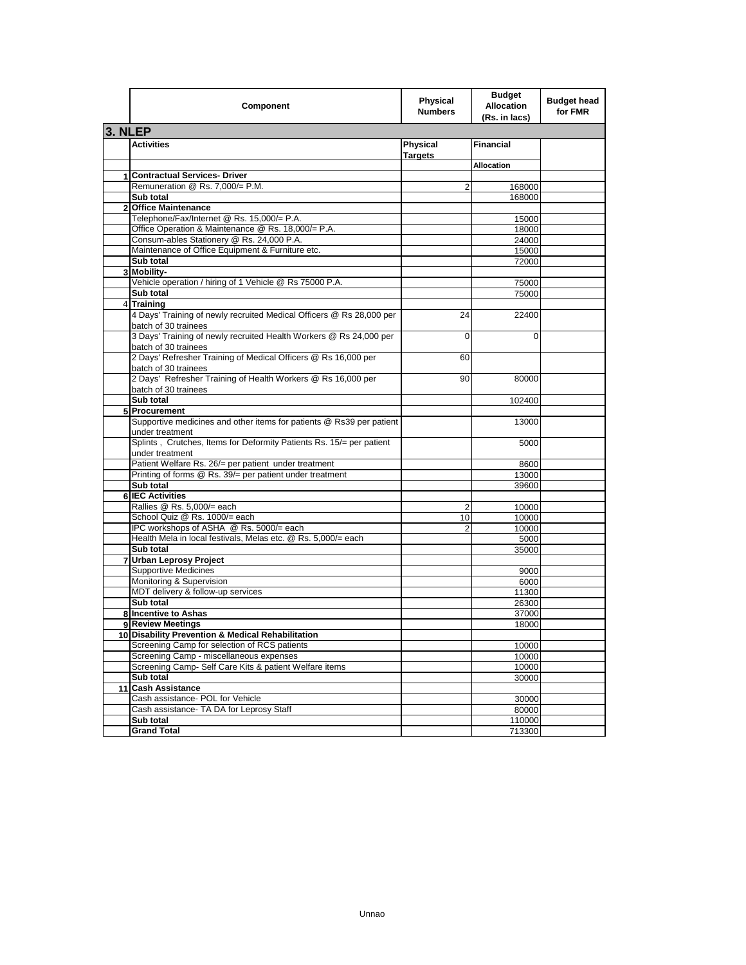|         | Component                                                                                     | Physical<br><b>Numbers</b>        | <b>Budget</b><br><b>Allocation</b><br>(Rs. in lacs) | <b>Budget head</b><br>for FMR |
|---------|-----------------------------------------------------------------------------------------------|-----------------------------------|-----------------------------------------------------|-------------------------------|
| 3. NLEP |                                                                                               |                                   |                                                     |                               |
|         | Activities                                                                                    | <b>Physical</b><br><b>Targets</b> | <b>Financial</b>                                    |                               |
|         |                                                                                               |                                   | <b>Allocation</b>                                   |                               |
| 1       | <b>Contractual Services- Driver</b>                                                           |                                   |                                                     |                               |
|         | Remuneration @ Rs. 7,000/= P.M.                                                               | 2                                 | 168000                                              |                               |
|         | Sub total                                                                                     |                                   | 168000                                              |                               |
|         | 2 Office Maintenance                                                                          |                                   |                                                     |                               |
|         | Telephone/Fax/Internet @ Rs. 15,000/= P.A.                                                    |                                   | 15000                                               |                               |
|         | Office Operation & Maintenance @ Rs. 18,000/= P.A.                                            |                                   | 18000                                               |                               |
|         | Consum-ables Stationery @ Rs. 24,000 P.A.<br>Maintenance of Office Equipment & Furniture etc. |                                   | 24000                                               |                               |
|         | Sub total                                                                                     |                                   | 15000<br>72000                                      |                               |
| 3       | Mobility-                                                                                     |                                   |                                                     |                               |
|         | Vehicle operation / hiring of 1 Vehicle @ Rs 75000 P.A.                                       |                                   | 75000                                               |                               |
|         | Sub total                                                                                     |                                   | 75000                                               |                               |
|         | 4 Training                                                                                    |                                   |                                                     |                               |
|         | 4 Days' Training of newly recruited Medical Officers @ Rs 28,000 per<br>batch of 30 trainees  | 24                                | 22400                                               |                               |
|         | 3 Days' Training of newly recruited Health Workers @ Rs 24,000 per<br>batch of 30 trainees    | $\Omega$                          | 0                                                   |                               |
|         | 2 Days' Refresher Training of Medical Officers @ Rs 16,000 per<br>batch of 30 trainees        | 60                                |                                                     |                               |
|         | 2 Days' Refresher Training of Health Workers @ Rs 16,000 per<br>batch of 30 trainees          | 90                                | 80000                                               |                               |
|         | Sub total                                                                                     |                                   | 102400                                              |                               |
|         | 5 Procurement                                                                                 |                                   |                                                     |                               |
|         | Supportive medicines and other items for patients @ Rs39 per patient<br>under treatment       |                                   | 13000                                               |                               |
|         | Splints, Crutches, Items for Deformity Patients Rs. 15/= per patient<br>under treatment       |                                   | 5000                                                |                               |
|         | Patient Welfare Rs. 26/= per patient under treatment                                          |                                   | 8600                                                |                               |
|         | Printing of forms @ Rs. 39/= per patient under treatment                                      |                                   | 13000                                               |                               |
|         | Sub total                                                                                     |                                   | 39600                                               |                               |
|         | 6 IEC Activities                                                                              |                                   |                                                     |                               |
|         | Rallies @ Rs. 5,000/= each                                                                    | $\overline{2}$                    | 10000                                               |                               |
|         | School Quiz @ Rs. 1000/= each                                                                 | 10                                | 10000                                               |                               |
|         | IPC workshops of ASHA @ Rs. 5000/= each                                                       | 2                                 | 10000                                               |                               |
|         | Health Mela in local festivals, Melas etc. @ Rs. 5,000/= each                                 |                                   | 5000                                                |                               |
|         | Sub total                                                                                     |                                   | 35000                                               |                               |
|         | 7 Urban Leprosy Project                                                                       |                                   |                                                     |                               |
|         | <b>Supportive Medicines</b>                                                                   |                                   | 9000                                                |                               |
|         | Monitoring & Supervision<br>MDT delivery & follow-up services                                 |                                   | 6000<br>11300                                       |                               |
|         | Sub total                                                                                     |                                   | 26300                                               |                               |
|         | 8 Incentive to Ashas                                                                          |                                   | 37000                                               |                               |
|         | 9 Review Meetings                                                                             |                                   | 18000                                               |                               |
|         | 10 Disability Prevention & Medical Rehabilitation                                             |                                   |                                                     |                               |
|         | Screening Camp for selection of RCS patients                                                  |                                   | 10000                                               |                               |
|         | Screening Camp - miscellaneous expenses                                                       |                                   | 10000                                               |                               |
|         | Screening Camp- Self Care Kits & patient Welfare items                                        |                                   | 10000                                               |                               |
|         | Sub total                                                                                     |                                   | 30000                                               |                               |
|         | 11 Cash Assistance                                                                            |                                   |                                                     |                               |
|         | Cash assistance- POL for Vehicle                                                              |                                   | 30000                                               |                               |
|         | Cash assistance- TA DA for Leprosy Staff                                                      |                                   | 80000                                               |                               |
|         | Sub total                                                                                     |                                   | 110000                                              |                               |
|         | <b>Grand Total</b>                                                                            |                                   | 713300                                              |                               |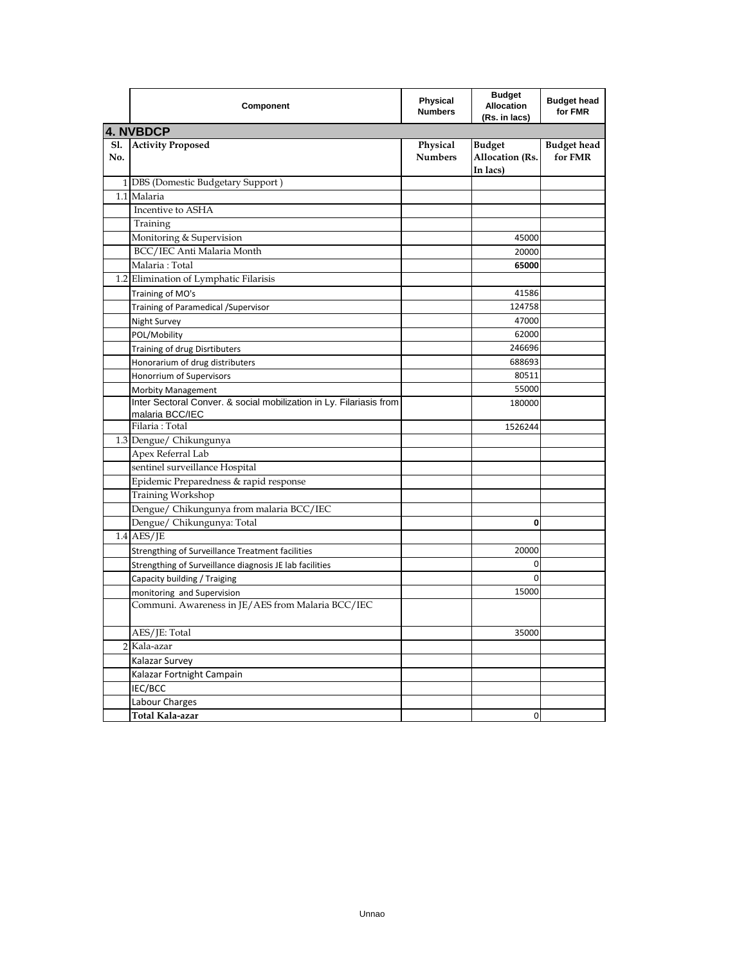|            | Component                                                                              | <b>Physical</b><br><b>Numbers</b> | <b>Budget</b><br><b>Allocation</b><br>(Rs. in lacs) | <b>Budget head</b><br>for FMR |  |
|------------|----------------------------------------------------------------------------------------|-----------------------------------|-----------------------------------------------------|-------------------------------|--|
|            | <b>4. NVBDCP</b>                                                                       |                                   |                                                     |                               |  |
| Sl.<br>No. | <b>Activity Proposed</b>                                                               | Physical<br><b>Numbers</b>        | <b>Budget</b><br><b>Allocation (Rs.</b><br>In lacs) | <b>Budget head</b><br>for FMR |  |
|            | 1 DBS (Domestic Budgetary Support)                                                     |                                   |                                                     |                               |  |
|            | 1.1 Malaria                                                                            |                                   |                                                     |                               |  |
|            | Incentive to ASHA                                                                      |                                   |                                                     |                               |  |
|            | Training                                                                               |                                   |                                                     |                               |  |
|            | Monitoring & Supervision                                                               |                                   | 45000                                               |                               |  |
|            | BCC/IEC Anti Malaria Month                                                             |                                   | 20000                                               |                               |  |
|            | Malaria: Total                                                                         |                                   | 65000                                               |                               |  |
|            | 1.2 Elimination of Lymphatic Filarisis                                                 |                                   |                                                     |                               |  |
|            | Training of MO's                                                                       |                                   | 41586                                               |                               |  |
|            | Training of Paramedical / Supervisor                                                   |                                   | 124758                                              |                               |  |
|            | Night Survey                                                                           |                                   | 47000                                               |                               |  |
|            | POL/Mobility                                                                           |                                   | 62000                                               |                               |  |
|            | Training of drug Disrtibuters                                                          |                                   | 246696                                              |                               |  |
|            | Honorarium of drug distributers                                                        |                                   | 688693                                              |                               |  |
|            | Honorrium of Supervisors                                                               |                                   | 80511                                               |                               |  |
|            | Morbity Management                                                                     |                                   | 55000                                               |                               |  |
|            | Inter Sectoral Conver. & social mobilization in Ly. Filariasis from<br>malaria BCC/IEC |                                   | 180000                                              |                               |  |
|            | Filaria: Total                                                                         |                                   | 1526244                                             |                               |  |
|            | 1.3 Dengue/ Chikungunya                                                                |                                   |                                                     |                               |  |
|            | Apex Referral Lab                                                                      |                                   |                                                     |                               |  |
|            | sentinel surveillance Hospital                                                         |                                   |                                                     |                               |  |
|            | Epidemic Preparedness & rapid response                                                 |                                   |                                                     |                               |  |
|            | Training Workshop                                                                      |                                   |                                                     |                               |  |
|            | Dengue/ Chikungunya from malaria BCC/IEC                                               |                                   |                                                     |                               |  |
|            | Dengue/ Chikungunya: Total                                                             |                                   | 0                                                   |                               |  |
|            | $1.4$ AES/JE                                                                           |                                   |                                                     |                               |  |
|            | Strengthing of Surveillance Treatment facilities                                       |                                   | 20000                                               |                               |  |
|            | Strengthing of Surveillance diagnosis JE lab facilities                                |                                   | 0                                                   |                               |  |
|            | Capacity building / Traiging                                                           |                                   | $\mathbf 0$                                         |                               |  |
|            | monitoring and Supervision                                                             |                                   | 15000                                               |                               |  |
|            | Communi. Awareness in JE/AES from Malaria BCC/IEC                                      |                                   |                                                     |                               |  |
|            | AES/JE: Total                                                                          |                                   | 35000                                               |                               |  |
|            | 2 Kala-azar                                                                            |                                   |                                                     |                               |  |
|            | Kalazar Survey                                                                         |                                   |                                                     |                               |  |
|            | Kalazar Fortnight Campain                                                              |                                   |                                                     |                               |  |
|            | IEC/BCC                                                                                |                                   |                                                     |                               |  |
|            | Labour Charges                                                                         |                                   |                                                     |                               |  |
|            | Total Kala-azar                                                                        |                                   | $\mathbf 0$                                         |                               |  |